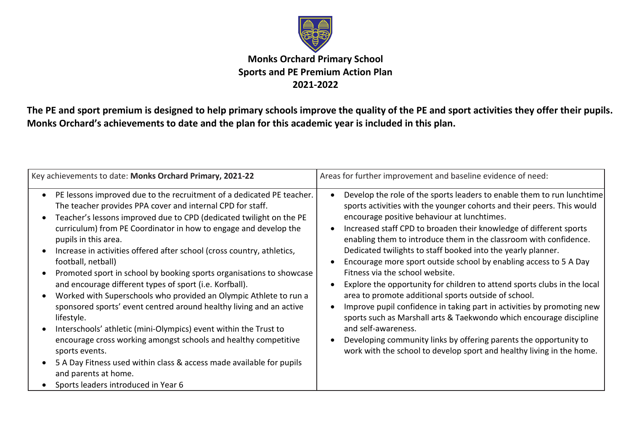

## **Monks Orchard Primary School Sports and PE Premium Action Plan 2021-2022**

**The PE and sport premium is designed to help primary schools improve the quality of the PE and sport activities they offer their pupils. Monks Orchard's achievements to date and the plan for this academic year is included in this plan.**

| Key achievements to date: Monks Orchard Primary, 2021-22                                                                                                                                                                                                                                                                                                                                                                                                                                                                                                                                                                                                                                                                                                                                                                                                                                                                                                                                            | Areas for further improvement and baseline evidence of need:                                                                                                                                                                                                                                                                                                                                                                                                                                                                                                                                                                                                                                                                                                                                                                                                                                                                                                                 |
|-----------------------------------------------------------------------------------------------------------------------------------------------------------------------------------------------------------------------------------------------------------------------------------------------------------------------------------------------------------------------------------------------------------------------------------------------------------------------------------------------------------------------------------------------------------------------------------------------------------------------------------------------------------------------------------------------------------------------------------------------------------------------------------------------------------------------------------------------------------------------------------------------------------------------------------------------------------------------------------------------------|------------------------------------------------------------------------------------------------------------------------------------------------------------------------------------------------------------------------------------------------------------------------------------------------------------------------------------------------------------------------------------------------------------------------------------------------------------------------------------------------------------------------------------------------------------------------------------------------------------------------------------------------------------------------------------------------------------------------------------------------------------------------------------------------------------------------------------------------------------------------------------------------------------------------------------------------------------------------------|
| PE lessons improved due to the recruitment of a dedicated PE teacher.<br>The teacher provides PPA cover and internal CPD for staff.<br>Teacher's lessons improved due to CPD (dedicated twilight on the PE<br>curriculum) from PE Coordinator in how to engage and develop the<br>pupils in this area.<br>Increase in activities offered after school (cross country, athletics,<br>football, netball)<br>Promoted sport in school by booking sports organisations to showcase<br>and encourage different types of sport (i.e. Korfball).<br>Worked with Superschools who provided an Olympic Athlete to run a<br>sponsored sports' event centred around healthy living and an active<br>lifestyle.<br>Interschools' athletic (mini-Olympics) event within the Trust to<br>encourage cross working amongst schools and healthy competitive<br>sports events.<br>5 A Day Fitness used within class & access made available for pupils<br>and parents at home.<br>Sports leaders introduced in Year 6 | Develop the role of the sports leaders to enable them to run lunchtime<br>sports activities with the younger cohorts and their peers. This would<br>encourage positive behaviour at lunchtimes.<br>Increased staff CPD to broaden their knowledge of different sports<br>enabling them to introduce them in the classroom with confidence.<br>Dedicated twilights to staff booked into the yearly planner.<br>Encourage more sport outside school by enabling access to 5 A Day<br>Fitness via the school website.<br>Explore the opportunity for children to attend sports clubs in the local<br>area to promote additional sports outside of school.<br>Improve pupil confidence in taking part in activities by promoting new<br>sports such as Marshall arts & Taekwondo which encourage discipline<br>and self-awareness.<br>Developing community links by offering parents the opportunity to<br>work with the school to develop sport and healthy living in the home. |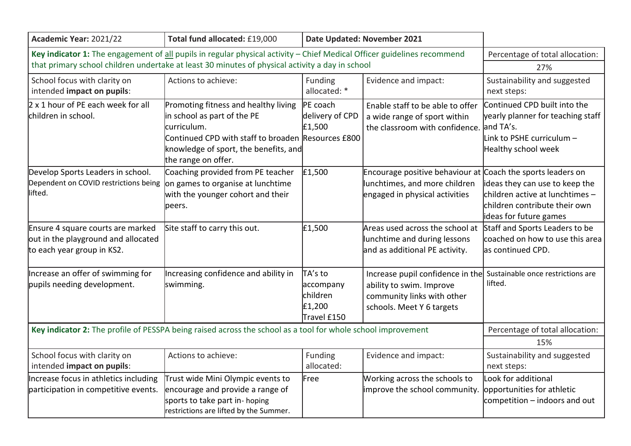| Academic Year: 2021/22                                                                                                  | Total fund allocated: £19,000                                                                                                                                                                            |                                                           | Date Updated: November 2021                                                                                                                               |                                                                                                                              |
|-------------------------------------------------------------------------------------------------------------------------|----------------------------------------------------------------------------------------------------------------------------------------------------------------------------------------------------------|-----------------------------------------------------------|-----------------------------------------------------------------------------------------------------------------------------------------------------------|------------------------------------------------------------------------------------------------------------------------------|
| Key indicator 1: The engagement of all pupils in regular physical activity - Chief Medical Officer guidelines recommend | Percentage of total allocation:                                                                                                                                                                          |                                                           |                                                                                                                                                           |                                                                                                                              |
| that primary school children undertake at least 30 minutes of physical activity a day in school                         | 27%                                                                                                                                                                                                      |                                                           |                                                                                                                                                           |                                                                                                                              |
| School focus with clarity on<br>intended impact on pupils:                                                              | Actions to achieve:                                                                                                                                                                                      | Funding<br>allocated: *                                   | Evidence and impact:                                                                                                                                      | Sustainability and suggested<br>next steps:                                                                                  |
| 2 x 1 hour of PE each week for all<br>children in school.                                                               | Promoting fitness and healthy living<br>in school as part of the PE<br>curriculum.<br>Continued CPD with staff to broaden Resources £800<br>knowledge of sport, the benefits, and<br>the range on offer. | PE coach<br>delivery of CPD<br>£1,500                     | Enable staff to be able to offer<br>a wide range of sport within<br>the classroom with confidence. and TA's.                                              | Continued CPD built into the<br>yearly planner for teaching staff<br>Link to PSHE curriculum -<br>Healthy school week        |
| Develop Sports Leaders in school.<br>Dependent on COVID restrictions being<br>lifted.                                   | Coaching provided from PE teacher<br>on games to organise at lunchtime<br>with the younger cohort and their<br>peers.                                                                                    | £1,500                                                    | Encourage positive behaviour at Coach the sports leaders on<br>lunchtimes, and more children<br>engaged in physical activities                            | ideas they can use to keep the<br>children active at lunchtimes -<br>children contribute their own<br>ideas for future games |
| Ensure 4 square courts are marked<br>out in the playground and allocated<br>to each year group in KS2.                  | Site staff to carry this out.                                                                                                                                                                            | £1,500                                                    | Areas used across the school at<br>lunchtime and during lessons<br>and as additional PE activity.                                                         | Staff and Sports Leaders to be<br>coached on how to use this area<br>as continued CPD.                                       |
| Increase an offer of swimming for<br>pupils needing development.                                                        | Increasing confidence and ability in<br>swimming.                                                                                                                                                        | TA's to<br>accompany<br>children<br>£1,200<br>Travel £150 | Increase pupil confidence in the Sustainable once restrictions are<br>ability to swim. Improve<br>community links with other<br>schools. Meet Y 6 targets | lifted.                                                                                                                      |
|                                                                                                                         | Key indicator 2: The profile of PESSPA being raised across the school as a tool for whole school improvement                                                                                             |                                                           |                                                                                                                                                           | Percentage of total allocation:                                                                                              |
|                                                                                                                         | 15%                                                                                                                                                                                                      |                                                           |                                                                                                                                                           |                                                                                                                              |
| School focus with clarity on<br>intended impact on pupils:                                                              | Actions to achieve:                                                                                                                                                                                      | Funding<br>allocated:                                     | Evidence and impact:                                                                                                                                      | Sustainability and suggested<br>next steps:                                                                                  |
| Increase focus in athletics including<br>participation in competitive events.                                           | Trust wide Mini Olympic events to<br>encourage and provide a range of<br>sports to take part in- hoping<br>restrictions are lifted by the Summer.                                                        | Free                                                      | Working across the schools to<br>improve the school community.                                                                                            | Look for additional<br>opportunities for athletic<br>competition $-$ indoors and out                                         |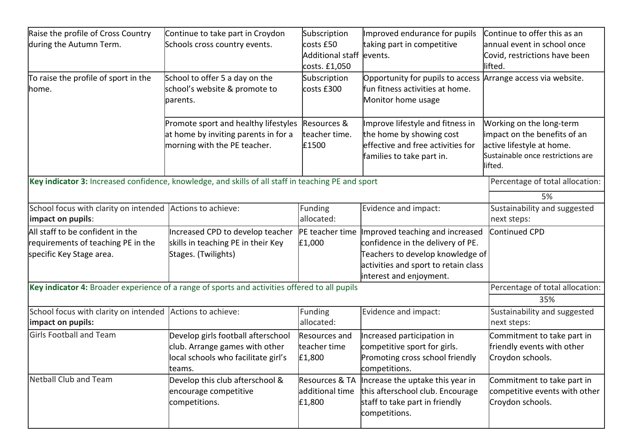| Raise the profile of Cross Country<br>during the Autumn Term.                                      | Continue to take part in Croydon<br>Schools cross country events.                                                     | Subscription<br>costs £50<br>Additional staff levents.<br>costs. £1,050 | Improved endurance for pupils<br>taking part in competitive                                                                                                                | Continue to offer this as an<br>annual event in school once<br>Covid, restrictions have been<br>lifted.                               |
|----------------------------------------------------------------------------------------------------|-----------------------------------------------------------------------------------------------------------------------|-------------------------------------------------------------------------|----------------------------------------------------------------------------------------------------------------------------------------------------------------------------|---------------------------------------------------------------------------------------------------------------------------------------|
| To raise the profile of sport in the<br>home.                                                      | School to offer 5 a day on the<br>school's website & promote to<br>parents.                                           | Subscription<br>costs £300                                              | Opportunity for pupils to access Arrange access via website.<br>ffun fitness activities at home.<br>Monitor home usage                                                     |                                                                                                                                       |
|                                                                                                    | Promote sport and healthy lifestyles<br>at home by inviting parents in for a<br>morning with the PE teacher.          | Resources &<br>teacher time.<br>£1500                                   | Improve lifestyle and fitness in<br>the home by showing cost<br>effective and free activities for<br>families to take part in.                                             | Working on the long-term<br>impact on the benefits of an<br>active lifestyle at home.<br>Sustainable once restrictions are<br>lifted. |
| Key indicator 3: Increased confidence, knowledge, and skills of all staff in teaching PE and sport | Percentage of total allocation:<br>5%                                                                                 |                                                                         |                                                                                                                                                                            |                                                                                                                                       |
| School focus with clarity on intended Actions to achieve:<br>impact on pupils:                     |                                                                                                                       | Funding<br>allocated:                                                   | Evidence and impact:                                                                                                                                                       | Sustainability and suggested<br>next steps:                                                                                           |
| All staff to be confident in the<br>requirements of teaching PE in the<br>specific Key Stage area. | Increased CPD to develop teacher<br>skills in teaching PE in their Key<br>Stages. (Twilights)                         | PE teacher time<br>£1,000                                               | mproved teaching and increased<br>confidence in the delivery of PE.<br>Teachers to develop knowledge of<br>activities and sport to retain class<br>interest and enjoyment. | Continued CPD                                                                                                                         |
| Key indicator 4: Broader experience of a range of sports and activities offered to all pupils      | Percentage of total allocation:<br>35%                                                                                |                                                                         |                                                                                                                                                                            |                                                                                                                                       |
| School focus with clarity on intended Actions to achieve:<br>impact on pupils:                     |                                                                                                                       | Funding<br>allocated:                                                   | Evidence and impact:                                                                                                                                                       | Sustainability and suggested<br>next steps:                                                                                           |
| <b>Girls Football and Team</b>                                                                     | Develop girls football afterschool<br>club. Arrange games with other<br>local schools who facilitate girl's<br>teams. | <b>Resources</b> and<br>teacher time<br>£1,800                          | Increased participation in<br>competitive sport for girls.<br>Promoting cross school friendly<br>competitions.                                                             | Commitment to take part in<br>friendly events with other<br>Croydon schools.                                                          |
| Netball Club and Team                                                                              | Develop this club afterschool &<br>encourage competitive<br>competitions.                                             | Resources & TA<br>additional time<br>£1,800                             | Increase the uptake this year in<br>this afterschool club. Encourage<br>staff to take part in friendly<br>competitions.                                                    | Commitment to take part in<br>competitive events with other<br>Croydon schools.                                                       |